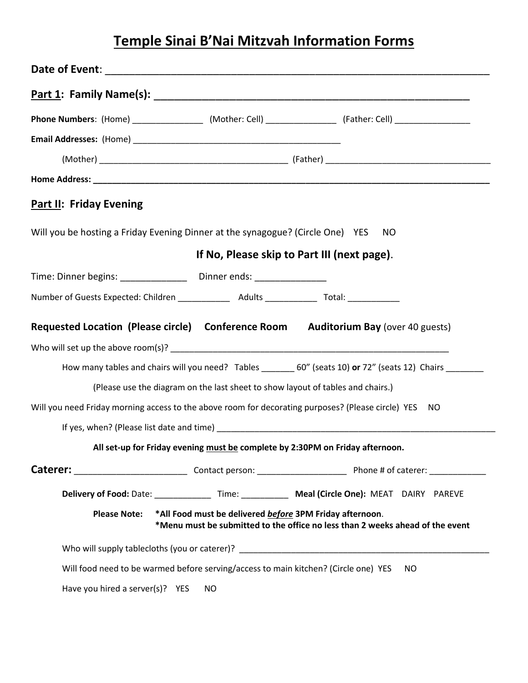# **Temple Sinai B'Nai Mitzvah Information Forms**

|                                                                                                      |                                                          | Phone Numbers: (Home) ____________________ (Mother: Cell) _________________ (Father: Cell) __________________ |
|------------------------------------------------------------------------------------------------------|----------------------------------------------------------|---------------------------------------------------------------------------------------------------------------|
|                                                                                                      |                                                          |                                                                                                               |
|                                                                                                      |                                                          |                                                                                                               |
|                                                                                                      |                                                          |                                                                                                               |
| <b>Part II: Friday Evening</b>                                                                       |                                                          |                                                                                                               |
| Will you be hosting a Friday Evening Dinner at the synagogue? (Circle One) YES                       |                                                          | NO.                                                                                                           |
|                                                                                                      |                                                          | If No, Please skip to Part III (next page).                                                                   |
| Time: Dinner begins: ___________________ Dinner ends: _________________                              |                                                          |                                                                                                               |
| Number of Guests Expected: Children _________________________Adults ________________________________ |                                                          |                                                                                                               |
|                                                                                                      |                                                          | <b>Requested Location (Please circle) Conference Room Auditorium Bay (over 40 guests)</b>                     |
|                                                                                                      |                                                          |                                                                                                               |
|                                                                                                      |                                                          | How many tables and chairs will you need? Tables ________ 60" (seats 10) or 72" (seats 12) Chairs ________    |
|                                                                                                      |                                                          | (Please use the diagram on the last sheet to show layout of tables and chairs.)                               |
|                                                                                                      |                                                          | Will you need Friday morning access to the above room for decorating purposes? (Please circle) YES NO         |
|                                                                                                      |                                                          |                                                                                                               |
|                                                                                                      |                                                          | All set-up for Friday evening must be complete by 2:30PM on Friday afternoon.                                 |
|                                                                                                      |                                                          |                                                                                                               |
|                                                                                                      |                                                          |                                                                                                               |
| <b>Please Note:</b>                                                                                  | *All Food must be delivered before 3PM Friday afternoon. | *Menu must be submitted to the office no less than 2 weeks ahead of the event                                 |
|                                                                                                      |                                                          |                                                                                                               |
|                                                                                                      |                                                          | Will food need to be warmed before serving/access to main kitchen? (Circle one) YES<br>NO.                    |
| Have you hired a server(s)? YES                                                                      | NO                                                       |                                                                                                               |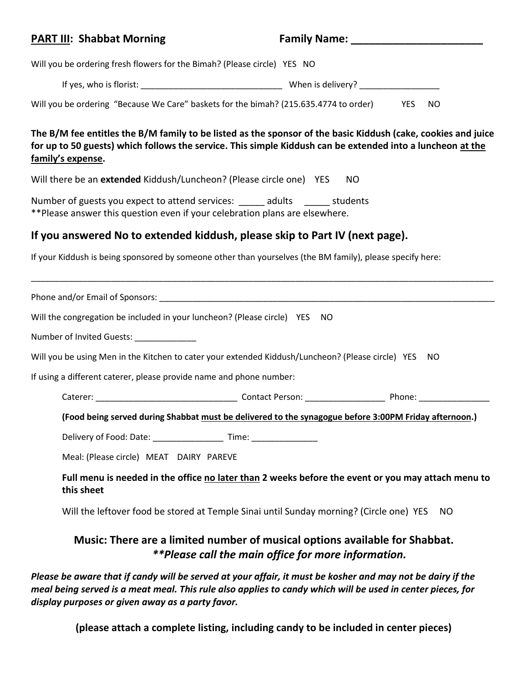#### **PART III:** Shabbat Morning **Family Name:** Family Name:

Will you be ordering fresh flowers for the Bimah? (Please circle) YES NO

If yes, who is florist: \_\_\_\_\_\_\_\_\_\_\_\_\_\_\_\_\_\_\_\_\_\_\_\_\_\_\_\_\_\_ When is delivery? \_\_\_\_\_\_\_\_\_\_\_\_\_\_\_\_\_

Will you be ordering "Because We Care" baskets for the bimah? (215.635.4774 to order) YES NO

**The B/M fee entitles the B/M family to be listed as the sponsor of the basic Kiddush (cake, cookies and juice for up to 50 guests) which follows the service. This simple Kiddush can be extended into a luncheon at the family's expense.** 

Will there be an **extended** Kiddush/Luncheon? (Please circle one) YES NO

Number of guests you expect to attend services: \_\_\_\_\_\_ adults \_\_\_\_\_\_\_ students \*\*Please answer this question even if your celebration plans are elsewhere.

# **If you answered No to extended kiddush, please skip to Part IV (next page).**

If your Kiddush is being sponsored by someone other than yourselves (the BM family), please specify here:

| Will the congregation be included in your luncheon? (Please circle) YES NO                                       |  |
|------------------------------------------------------------------------------------------------------------------|--|
| Number of Invited Guests: _____________                                                                          |  |
| Will you be using Men in the Kitchen to cater your extended Kiddush/Luncheon? (Please circle) YES NO             |  |
| If using a different caterer, please provide name and phone number:                                              |  |
|                                                                                                                  |  |
| (Food being served during Shabbat must be delivered to the synagogue before 3:00PM Friday afternoon.)            |  |
| Delivery of Food: Date: _______________________ Time: __________________________                                 |  |
| Meal: (Please circle) MEAT DAIRY PAREVE                                                                          |  |
| Full menu is needed in the office no later than 2 weeks before the event or you may attach menu to<br>this sheet |  |

\_\_\_\_\_\_\_\_\_\_\_\_\_\_\_\_\_\_\_\_\_\_\_\_\_\_\_\_\_\_\_\_\_\_\_\_\_\_\_\_\_\_\_\_\_\_\_\_\_\_\_\_\_\_\_\_\_\_\_\_\_\_\_\_\_\_\_\_\_\_\_\_\_\_\_\_\_\_\_\_\_\_\_\_\_\_\_\_\_\_\_\_\_\_\_\_\_\_

Will the leftover food be stored at Temple Sinai until Sunday morning? (Circle one) YES NO

# **Music: There are a limited number of musical options available for Shabbat.** *\*\*Please call the main office for more information.*

*Please be aware that if candy will be served at your affair, it must be kosher and may not be dairy if the meal being served is a meat meal. This rule also applies to candy which will be used in center pieces, for display purposes or given away as a party favor.*

**(please attach a complete listing, including candy to be included in center pieces)**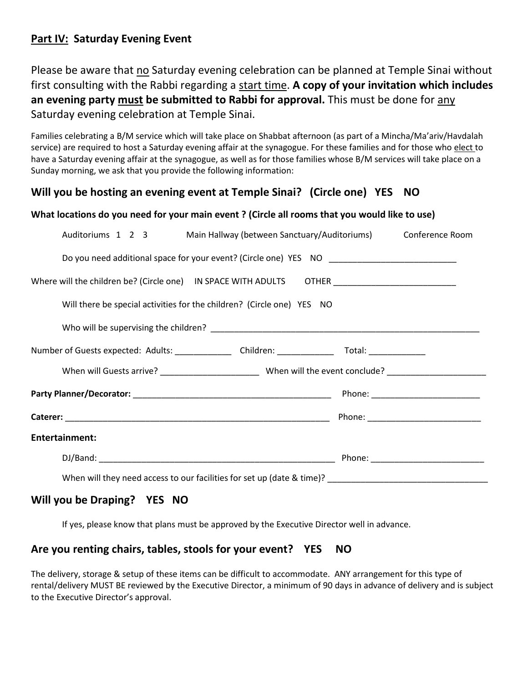# **Part IV: Saturday Evening Event**

Please be aware that no Saturday evening celebration can be planned at Temple Sinai without first consulting with the Rabbi regarding a start time. **A copy of your invitation which includes an evening party must be submitted to Rabbi for approval.** This must be done for any Saturday evening celebration at Temple Sinai.

Families celebrating a B/M service which will take place on Shabbat afternoon (as part of a Mincha/Ma'ariv/Havdalah service) are required to host a Saturday evening affair at the synagogue. For these families and for those who elect to have a Saturday evening affair at the synagogue, as well as for those families whose B/M services will take place on a Sunday morning, we ask that you provide the following information:

# **Will you be hosting an evening event at Temple Sinai? (Circle one) YES NO**

#### **What locations do you need for your main event ? (Circle all rooms that you would like to use)**

|                       | Auditoriums 1 2 3 Main Hallway (between Sanctuary/Auditoriums) Conference Room                       |  |
|-----------------------|------------------------------------------------------------------------------------------------------|--|
|                       | Do you need additional space for your event? (Circle one) YES NO __________________________________  |  |
|                       | Where will the children be? (Circle one) IN SPACE WITH ADULTS OTHER ________________________________ |  |
|                       | Will there be special activities for the children? (Circle one) YES NO                               |  |
|                       |                                                                                                      |  |
|                       | Number of Guests expected: Adults: _______________ Children: _______________ Total: _______________  |  |
|                       |                                                                                                      |  |
|                       |                                                                                                      |  |
|                       |                                                                                                      |  |
| <b>Entertainment:</b> |                                                                                                      |  |
|                       |                                                                                                      |  |
|                       |                                                                                                      |  |

### **Will you be Draping? YES NO**

If yes, please know that plans must be approved by the Executive Director well in advance.

#### **Are you renting chairs, tables, stools for your event? YES NO**

The delivery, storage & setup of these items can be difficult to accommodate. ANY arrangement for this type of rental/delivery MUST BE reviewed by the Executive Director, a minimum of 90 days in advance of delivery and is subject to the Executive Director's approval.